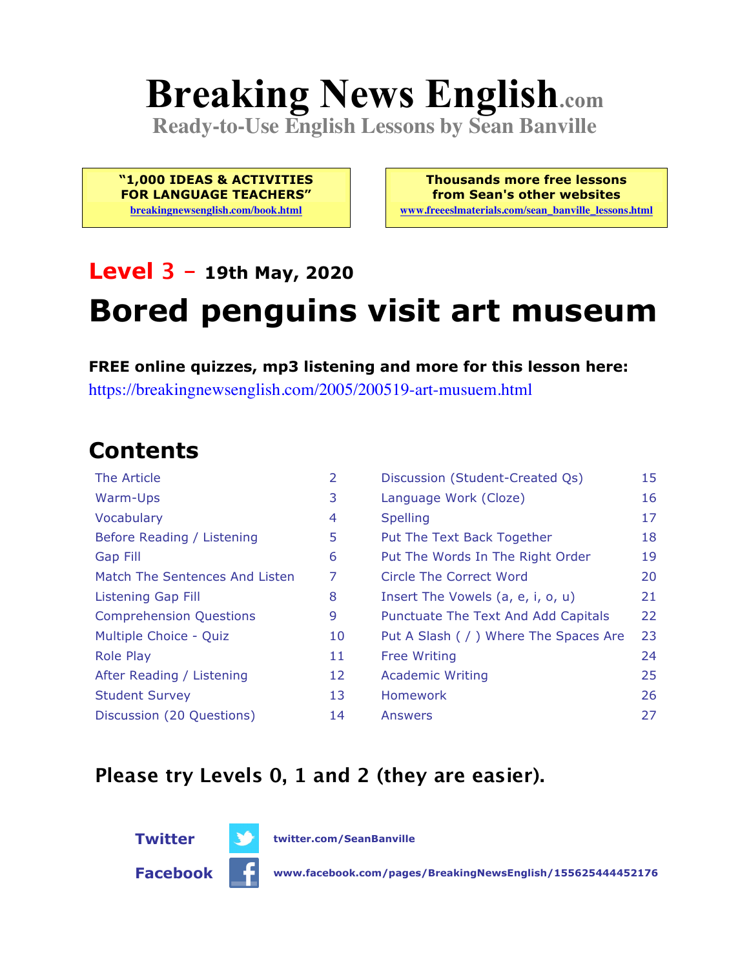# **Breaking News English.com**

**Ready-to-Use English Lessons by Sean Banville**

**"1,000 IDEAS & ACTIVITIES FOR LANGUAGE TEACHERS"**

**breakingnewsenglish.com/book.html**

**Thousands more free lessons from Sean's other websites www.freeeslmaterials.com/sean\_banville\_lessons.html**

#### **Level 3 - 19th May, 2020**

## **Bored penguins visit art museum**

**FREE online quizzes, mp3 listening and more for this lesson here:** https://breakingnewsenglish.com/2005/200519-art-musuem.html

### **Contents**

| The Article                    | 2  | Discussion (Student-Created Qs)        | 15 |
|--------------------------------|----|----------------------------------------|----|
| Warm-Ups                       | 3  | Language Work (Cloze)                  | 16 |
| Vocabulary                     | 4  | <b>Spelling</b>                        | 17 |
| Before Reading / Listening     | 5  | Put The Text Back Together             | 18 |
| <b>Gap Fill</b>                | 6  | Put The Words In The Right Order       | 19 |
| Match The Sentences And Listen | 7  | Circle The Correct Word                | 20 |
| <b>Listening Gap Fill</b>      | 8  | Insert The Vowels (a, e, i, o, u)      | 21 |
| <b>Comprehension Questions</b> | 9  | Punctuate The Text And Add Capitals    | 22 |
| Multiple Choice - Quiz         | 10 | Put A Slash ( / ) Where The Spaces Are | 23 |
| <b>Role Play</b>               | 11 | <b>Free Writing</b>                    | 24 |
| After Reading / Listening      | 12 | <b>Academic Writing</b>                | 25 |
| <b>Student Survey</b>          | 13 | <b>Homework</b>                        | 26 |
| Discussion (20 Questions)      | 14 | Answers                                | 27 |

#### **Please try Levels 0, 1 and 2 (they are easier).**



**Twitter twitter.com/SeanBanville**

**Facebook www.facebook.com/pages/BreakingNewsEnglish/155625444452176**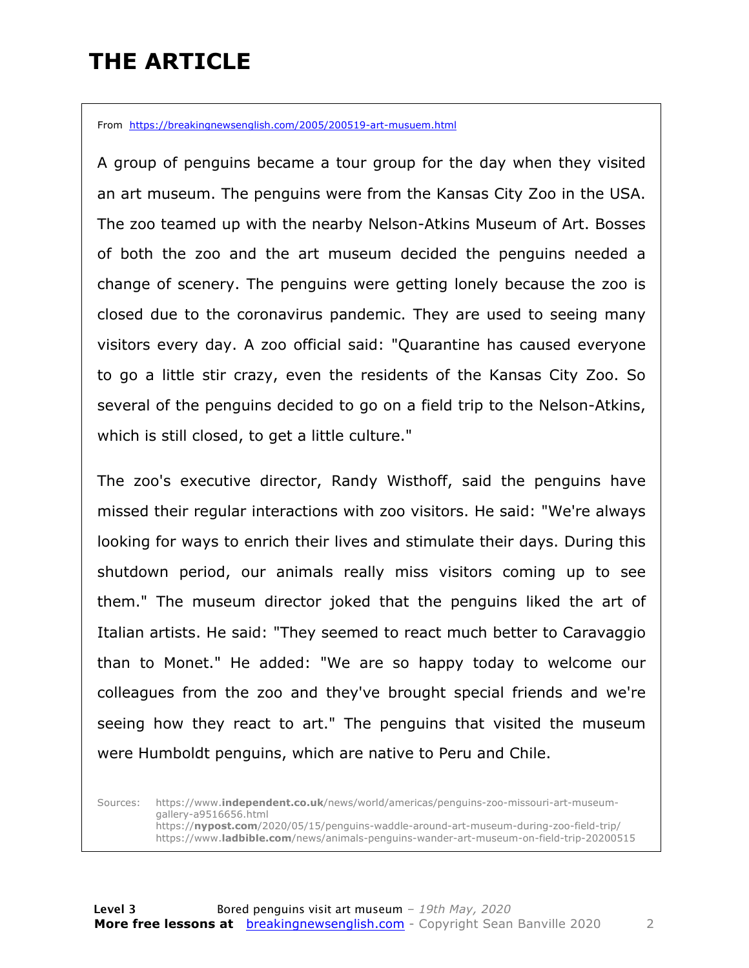### **THE ARTICLE**

From https://breakingnewsenglish.com/2005/200519-art-musuem.html

A group of penguins became a tour group for the day when they visited an art museum. The penguins were from the Kansas City Zoo in the USA. The zoo teamed up with the nearby Nelson-Atkins Museum of Art. Bosses of both the zoo and the art museum decided the penguins needed a change of scenery. The penguins were getting lonely because the zoo is closed due to the coronavirus pandemic. They are used to seeing many visitors every day. A zoo official said: "Quarantine has caused everyone to go a little stir crazy, even the residents of the Kansas City Zoo. So several of the penguins decided to go on a field trip to the Nelson-Atkins, which is still closed, to get a little culture."

The zoo's executive director, Randy Wisthoff, said the penguins have missed their regular interactions with zoo visitors. He said: "We're always looking for ways to enrich their lives and stimulate their days. During this shutdown period, our animals really miss visitors coming up to see them." The museum director joked that the penguins liked the art of Italian artists. He said: "They seemed to react much better to Caravaggio than to Monet." He added: "We are so happy today to welcome our colleagues from the zoo and they've brought special friends and we're seeing how they react to art." The penguins that visited the museum were Humboldt penguins, which are native to Peru and Chile.

Sources: https://www.**independent.co.uk**/news/world/americas/penguins-zoo-missouri-art-museumgallery-a9516656.html https://**nypost.com**/2020/05/15/penguins-waddle-around-art-museum-during-zoo-field-trip/ https://www.**ladbible.com**/news/animals-penguins-wander-art-museum-on-field-trip-20200515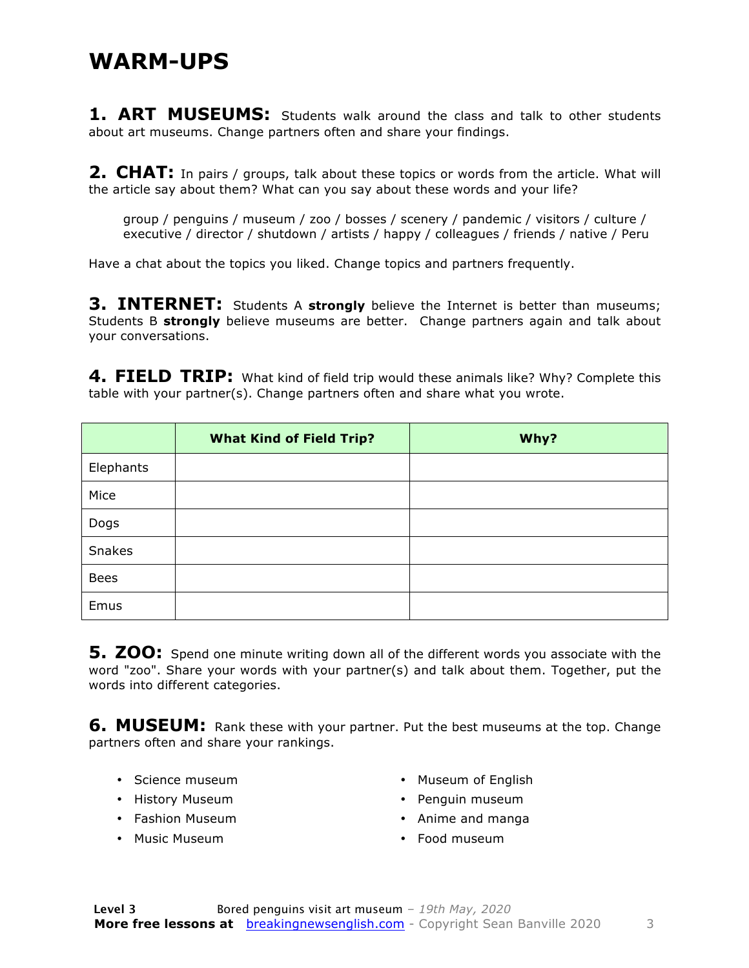#### **WARM-UPS**

**1. ART MUSEUMS:** Students walk around the class and talk to other students about art museums. Change partners often and share your findings.

**2. CHAT:** In pairs / groups, talk about these topics or words from the article. What will the article say about them? What can you say about these words and your life?

group / penguins / museum / zoo / bosses / scenery / pandemic / visitors / culture / executive / director / shutdown / artists / happy / colleagues / friends / native / Peru

Have a chat about the topics you liked. Change topics and partners frequently.

**3. INTERNET:** Students A strongly believe the Internet is better than museums; Students B **strongly** believe museums are better. Change partners again and talk about your conversations.

**4. FIELD TRIP:** What kind of field trip would these animals like? Why? Complete this table with your partner(s). Change partners often and share what you wrote.

|               | <b>What Kind of Field Trip?</b> | Why? |
|---------------|---------------------------------|------|
| Elephants     |                                 |      |
| Mice          |                                 |      |
| Dogs          |                                 |      |
| <b>Snakes</b> |                                 |      |
| <b>Bees</b>   |                                 |      |
| Emus          |                                 |      |

**5. ZOO:** Spend one minute writing down all of the different words you associate with the word "zoo". Share your words with your partner(s) and talk about them. Together, put the words into different categories.

**6. MUSEUM:** Rank these with your partner. Put the best museums at the top. Change partners often and share your rankings.

- Science museum
- History Museum
- Fashion Museum
- Music Museum
- Museum of English
- Penguin museum
- Anime and manga
- Food museum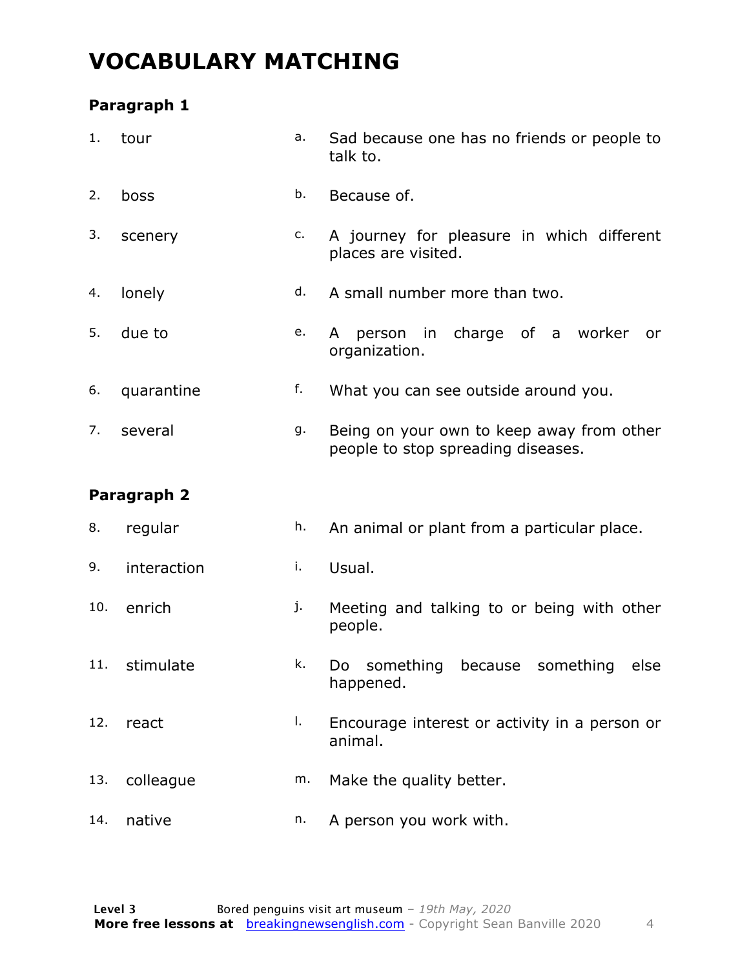### **VOCABULARY MATCHING**

#### **Paragraph 1**

| 1.  | tour        | a. | Sad because one has no friends or people to<br>talk to.                         |  |  |  |  |  |
|-----|-------------|----|---------------------------------------------------------------------------------|--|--|--|--|--|
| 2.  | boss        | b. | Because of.                                                                     |  |  |  |  |  |
| 3.  | scenery     | c. | A journey for pleasure in which different<br>places are visited.                |  |  |  |  |  |
| 4.  | lonely      | d. | A small number more than two.                                                   |  |  |  |  |  |
| 5.  | due to      | e. | person in charge of a worker<br>A<br>or<br>organization.                        |  |  |  |  |  |
| 6.  | quarantine  | f. | What you can see outside around you.                                            |  |  |  |  |  |
| 7.  | several     | g. | Being on your own to keep away from other<br>people to stop spreading diseases. |  |  |  |  |  |
|     |             |    |                                                                                 |  |  |  |  |  |
|     | Paragraph 2 |    |                                                                                 |  |  |  |  |  |
| 8.  | regular     | h. | An animal or plant from a particular place.                                     |  |  |  |  |  |
| 9.  | interaction | i. | Usual.                                                                          |  |  |  |  |  |
| 10. | enrich      | j. | Meeting and talking to or being with other<br>people.                           |  |  |  |  |  |
| 11. | stimulate   | k. | something<br>because<br>something<br>else<br>Do<br>happened.                    |  |  |  |  |  |
| 12. | react       | Ι. | Encourage interest or activity in a person or<br>animal.                        |  |  |  |  |  |
| 13. | colleague   | m. | Make the quality better.                                                        |  |  |  |  |  |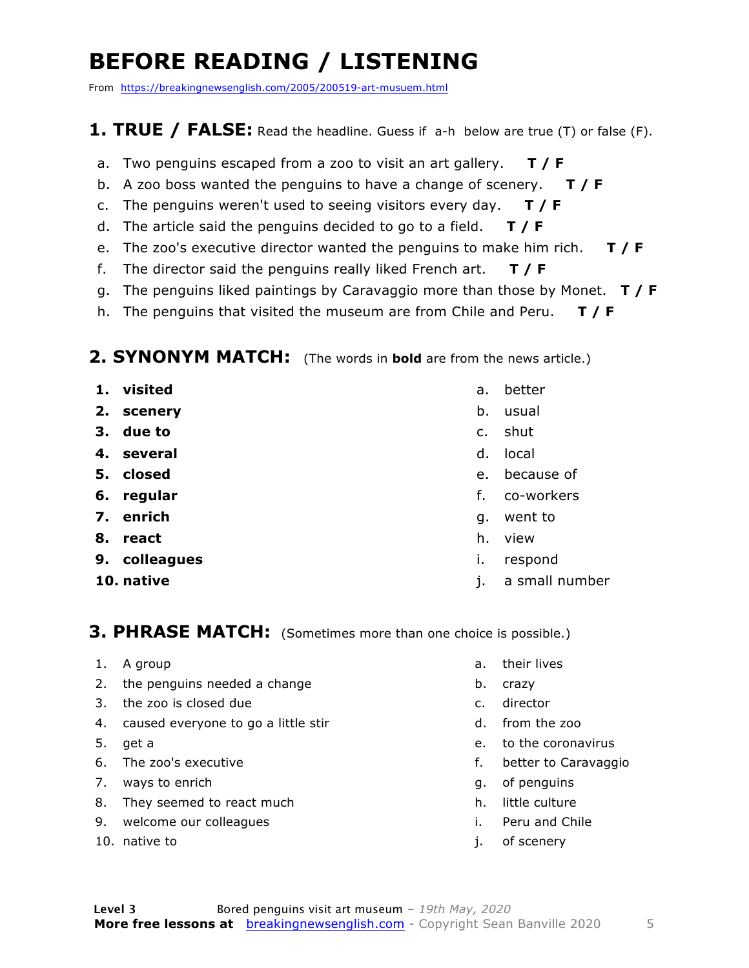### **BEFORE READING / LISTENING**

From https://breakingnewsenglish.com/2005/200519-art-musuem.html

#### **1. TRUE / FALSE:** Read the headline. Guess if a-h below are true (T) or false (F).

- a. Two penguins escaped from a zoo to visit an art gallery. **T / F**
- b. A zoo boss wanted the penguins to have a change of scenery. **T / F**
- c. The penguins weren't used to seeing visitors every day. **T / F**
- d. The article said the penguins decided to go to a field. **T / F**
- e. The zoo's executive director wanted the penguins to make him rich. **T / F**
- f. The director said the penguins really liked French art. **T / F**
- g. The penguins liked paintings by Caravaggio more than those by Monet. **T / F**
- h. The penguins that visited the museum are from Chile and Peru. **T / F**

#### **2. SYNONYM MATCH:** (The words in **bold** are from the news article.)

- **1. visited**
- **2. scenery**
- **3. due to**
- **4. several**
- **5. closed**
- **6. regular**
- **7. enrich**
- **8. react**
- **9. colleagues**
- **10. native**
- a. better
- b. usual
- c. shut
- d. local
- e. because of
- f. co-workers
- g. went to
- h. view
- i. respond
- j. a small number

#### **3. PHRASE MATCH:** (Sometimes more than one choice is possible.)

- 1. A group
- 2. the penguins needed a change
- 3. the zoo is closed due
- 4. caused everyone to go a little stir
- 5. get a
- 6. The zoo's executive
- 7. ways to enrich
- 8. They seemed to react much
- 9. welcome our colleagues
- 10. native to
- a. their lives
- b. crazy
- c. director
- d. from the zoo
- e. to the coronavirus
- f. better to Caravaggio
- g. of penguins
- h. little culture
- i. Peru and Chile
- j. of scenery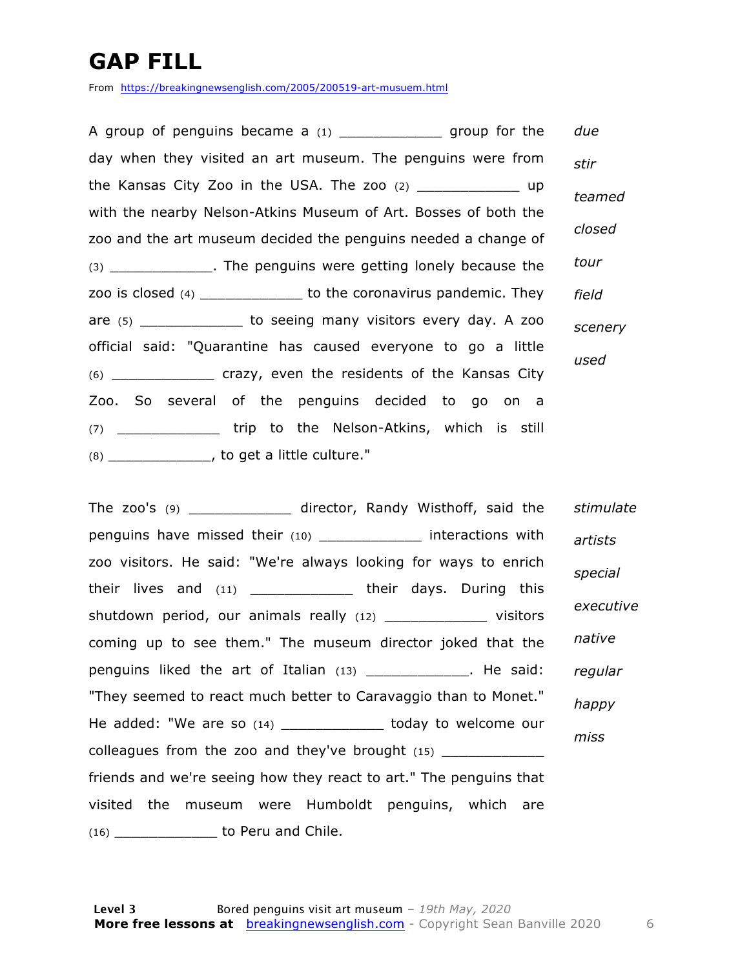### **GAP FILL**

From https://breakingnewsenglish.com/2005/200519-art-musuem.html

A group of penguins became a  $(1)$  group for the day when they visited an art museum. The penguins were from the Kansas City Zoo in the USA. The zoo (2) \_\_\_\_\_\_\_\_\_\_\_\_ up with the nearby Nelson-Atkins Museum of Art. Bosses of both the zoo and the art museum decided the penguins needed a change of (3) \_\_\_\_\_\_\_\_\_\_\_\_. The penguins were getting lonely because the zoo is closed (4) \_\_\_\_\_\_\_\_\_\_\_\_ to the coronavirus pandemic. They are (5) \_\_\_\_\_\_\_\_\_\_\_\_\_\_ to seeing many visitors every day. A zoo official said: "Quarantine has caused everyone to go a little (6) \_\_\_\_\_\_\_\_\_\_\_\_ crazy, even the residents of the Kansas City Zoo. So several of the penguins decided to go on a (7) \_\_\_\_\_\_\_\_\_\_\_\_ trip to the Nelson-Atkins, which is still (8) \_\_\_\_\_\_\_\_\_\_\_\_, to get a little culture." *due stir teamed closed tour field scenery used*

The zoo's (9) \_\_\_\_\_\_\_\_\_\_\_\_ director, Randy Wisthoff, said the penguins have missed their (10) \_\_\_\_\_\_\_\_\_\_\_\_\_\_ interactions with zoo visitors. He said: "We're always looking for ways to enrich their lives and (11) \_\_\_\_\_\_\_\_\_\_\_\_ their days. During this shutdown period, our animals really (12) The visitors coming up to see them." The museum director joked that the penguins liked the art of Italian (13) \_\_\_\_\_\_\_\_\_\_\_\_. He said: "They seemed to react much better to Caravaggio than to Monet." He added: "We are so (14) \_\_\_\_\_\_\_\_\_\_\_\_\_ today to welcome our colleagues from the zoo and they've brought (15) \_\_\_\_\_\_\_\_\_\_\_\_\_\_ friends and we're seeing how they react to art." The penguins that visited the museum were Humboldt penguins, which are (16) \_\_\_\_\_\_\_\_\_\_\_\_ to Peru and Chile. *stimulate artists special executive native regular happy miss*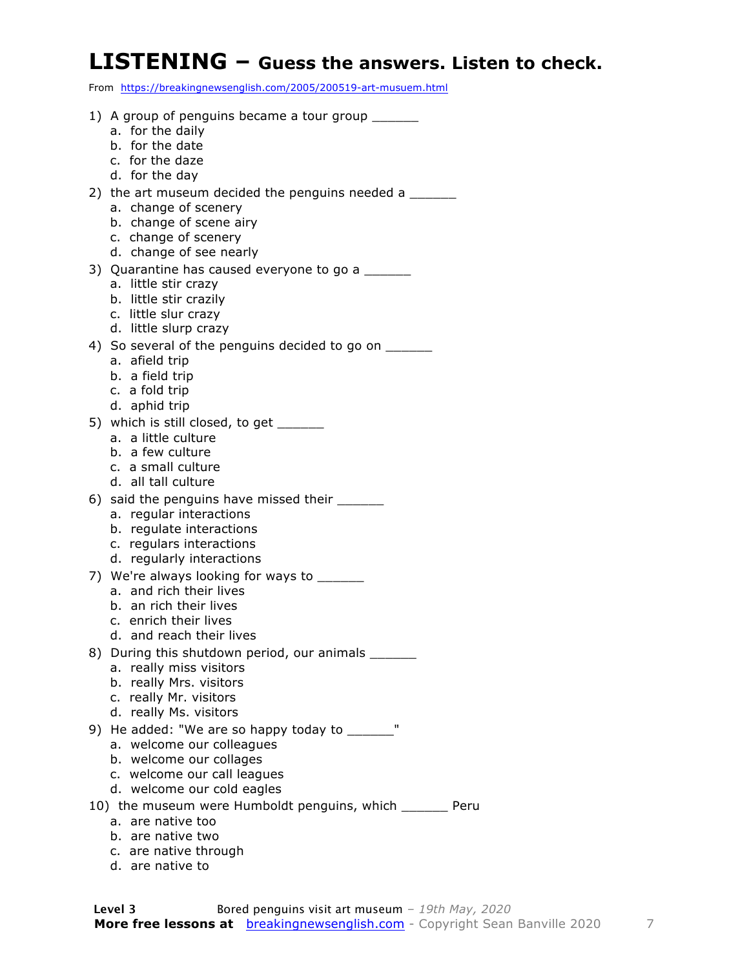#### **LISTENING – Guess the answers. Listen to check.**

From https://breakingnewsenglish.com/2005/200519-art-musuem.html

| 1) A group of penguins became a tour group _______<br>a. for the daily |
|------------------------------------------------------------------------|
| b. for the date                                                        |
| c. for the daze                                                        |
| d. for the day                                                         |
| 2) the art museum decided the penguins needed a                        |
| a. change of scenery                                                   |
| b. change of scene airy                                                |
| c. change of scenery                                                   |
| d. change of see nearly                                                |
| 3) Quarantine has caused everyone to go a                              |
| a. little stir crazy<br>b. little stir crazily                         |
| c. little slur crazy                                                   |
| d. little slurp crazy                                                  |
| 4) So several of the penguins decided to go on ______                  |
| a. afield trip                                                         |
| b. a field trip                                                        |
| c. a fold trip                                                         |
| d. aphid trip                                                          |
| 5) which is still closed, to get                                       |
| a. a little culture<br>b. a few culture                                |
| c. a small culture                                                     |
| d. all tall culture                                                    |
| 6) said the penguins have missed their _______                         |
| a. regular interactions                                                |
| b. regulate interactions                                               |
| c. regulars interactions                                               |
| d. regularly interactions                                              |
| 7) We're always looking for ways to                                    |
| a. and rich their lives<br>b. an rich their lives                      |
| c. enrich their lives                                                  |
| d. and reach their lives                                               |
| 8) During this shutdown period, our animals ______                     |
| a. really miss visitors                                                |
| b. really Mrs. visitors                                                |
| c. really Mr. visitors                                                 |
| d. really Ms. visitors                                                 |
| 9) He added: "We are so happy today to ______                          |
| a. welcome our colleagues                                              |
| b. welcome our collages                                                |
| c. welcome our call leagues<br>d. welcome our cold eagles              |
| 10) the museum were Humboldt penguins, which _______ Peru              |
| a. are native too                                                      |
|                                                                        |

- b. are native two c. are native through
- d. are native to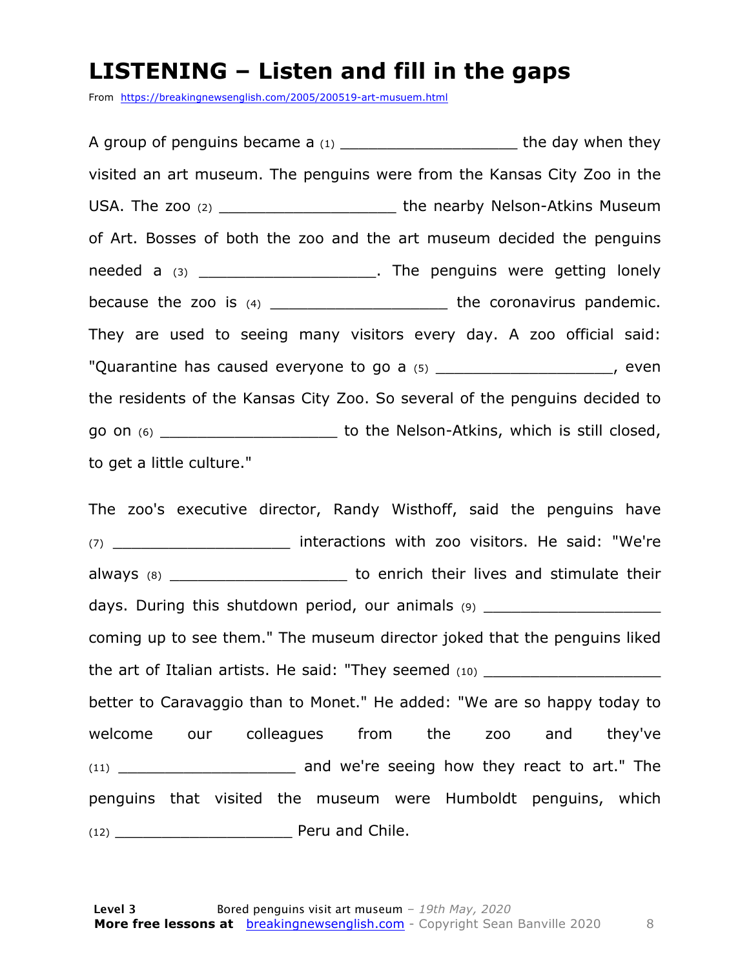#### **LISTENING – Listen and fill in the gaps**

From https://breakingnewsenglish.com/2005/200519-art-musuem.html

A group of penguins became a  $(1)$   $\qquad \qquad$  the day when they visited an art museum. The penguins were from the Kansas City Zoo in the USA. The zoo (2) \_\_\_\_\_\_\_\_\_\_\_\_\_\_\_\_\_\_\_\_\_\_\_\_\_\_\_ the nearby Nelson-Atkins Museum of Art. Bosses of both the zoo and the art museum decided the penguins needed a (3) \_\_\_\_\_\_\_\_\_\_\_\_\_\_\_\_\_\_\_\_\_\_. The penguins were getting lonely because the zoo is (4) \_\_\_\_\_\_\_\_\_\_\_\_\_\_\_\_\_\_\_\_\_\_\_\_\_ the coronavirus pandemic. They are used to seeing many visitors every day. A zoo official said: "Quarantine has caused everyone to go a (5) \_\_\_\_\_\_\_\_\_\_\_\_\_\_\_\_\_\_\_\_\_, even the residents of the Kansas City Zoo. So several of the penguins decided to go on (6) \_\_\_\_\_\_\_\_\_\_\_\_\_\_\_\_\_\_\_ to the Nelson-Atkins, which is still closed, to get a little culture."

The zoo's executive director, Randy Wisthoff, said the penguins have (7) \_\_\_\_\_\_\_\_\_\_\_\_\_\_\_\_\_\_\_ interactions with zoo visitors. He said: "We're always (8) \_\_\_\_\_\_\_\_\_\_\_\_\_\_\_\_\_\_\_\_\_\_\_\_\_\_ to enrich their lives and stimulate their days. During this shutdown period, our animals (9) coming up to see them." The museum director joked that the penguins liked the art of Italian artists. He said: "They seemed (10) \_\_\_\_\_\_\_\_\_\_\_\_\_\_\_\_\_\_\_\_\_\_\_\_\_ better to Caravaggio than to Monet." He added: "We are so happy today to welcome our colleagues from the zoo and they've (11) \_\_\_\_\_\_\_\_\_\_\_\_\_\_\_\_\_\_\_ and we're seeing how they react to art." The penguins that visited the museum were Humboldt penguins, which (12) \_\_\_\_\_\_\_\_\_\_\_\_\_\_\_\_\_\_\_ Peru and Chile.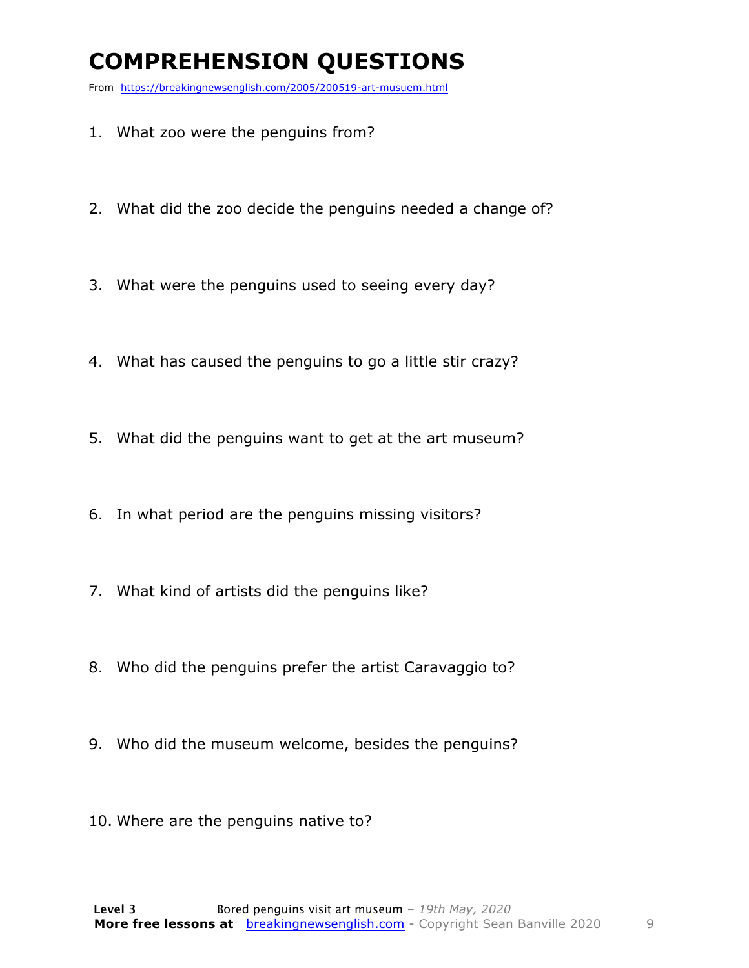### **COMPREHENSION QUESTIONS**

From https://breakingnewsenglish.com/2005/200519-art-musuem.html

- 1. What zoo were the penguins from?
- 2. What did the zoo decide the penguins needed a change of?
- 3. What were the penguins used to seeing every day?
- 4. What has caused the penguins to go a little stir crazy?
- 5. What did the penguins want to get at the art museum?
- 6. In what period are the penguins missing visitors?
- 7. What kind of artists did the penguins like?
- 8. Who did the penguins prefer the artist Caravaggio to?
- 9. Who did the museum welcome, besides the penguins?
- 10. Where are the penguins native to?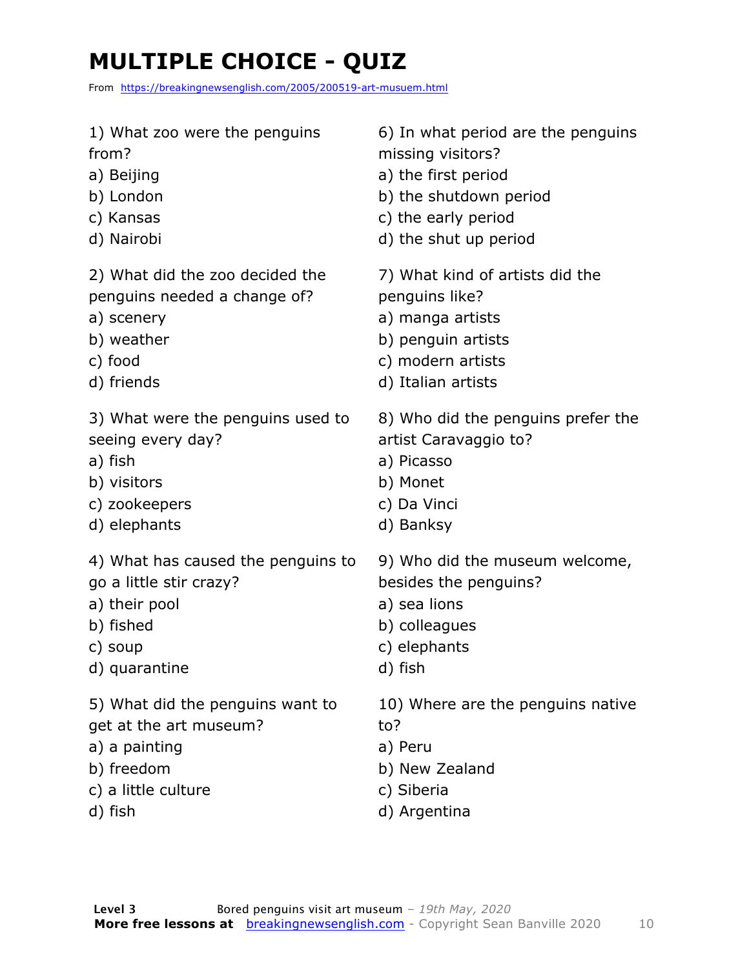### **MULTIPLE CHOICE - QUIZ**

From https://breakingnewsenglish.com/2005/200519-art-musuem.html

| 1) What zoo were the penguins      | 6) In what period are the penguins |
|------------------------------------|------------------------------------|
| from?                              | missing visitors?                  |
| a) Beijing                         | a) the first period                |
| b) London                          | b) the shutdown period             |
| c) Kansas                          | c) the early period                |
| d) Nairobi                         | d) the shut up period              |
| 2) What did the zoo decided the    | 7) What kind of artists did the    |
| penguins needed a change of?       | penguins like?                     |
| a) scenery                         | a) manga artists                   |
| b) weather                         | b) penguin artists                 |
| c) food                            | c) modern artists                  |
| d) friends                         | d) Italian artists                 |
| 3) What were the penguins used to  | 8) Who did the penguins prefer the |
| seeing every day?                  | artist Caravaggio to?              |
| a) fish                            | a) Picasso                         |
| b) visitors                        | b) Monet                           |
| c) zookeepers                      | c) Da Vinci                        |
| d) elephants                       | d) Banksy                          |
| 4) What has caused the penguins to | 9) Who did the museum welcome,     |
| go a little stir crazy?            | besides the penguins?              |
| a) their pool                      | a) sea lions                       |
| b) fished                          | b) colleagues                      |
| c) soup                            | c) elephants                       |
| d) quarantine                      | d) fish                            |
| 5) What did the penguins want to   | 10) Where are the penguins native  |
| get at the art museum?             | to?                                |
| a) a painting                      | a) Peru                            |
| b) freedom                         | b) New Zealand                     |
| c) a little culture                | c) Siberia                         |

d) fish

d) Argentina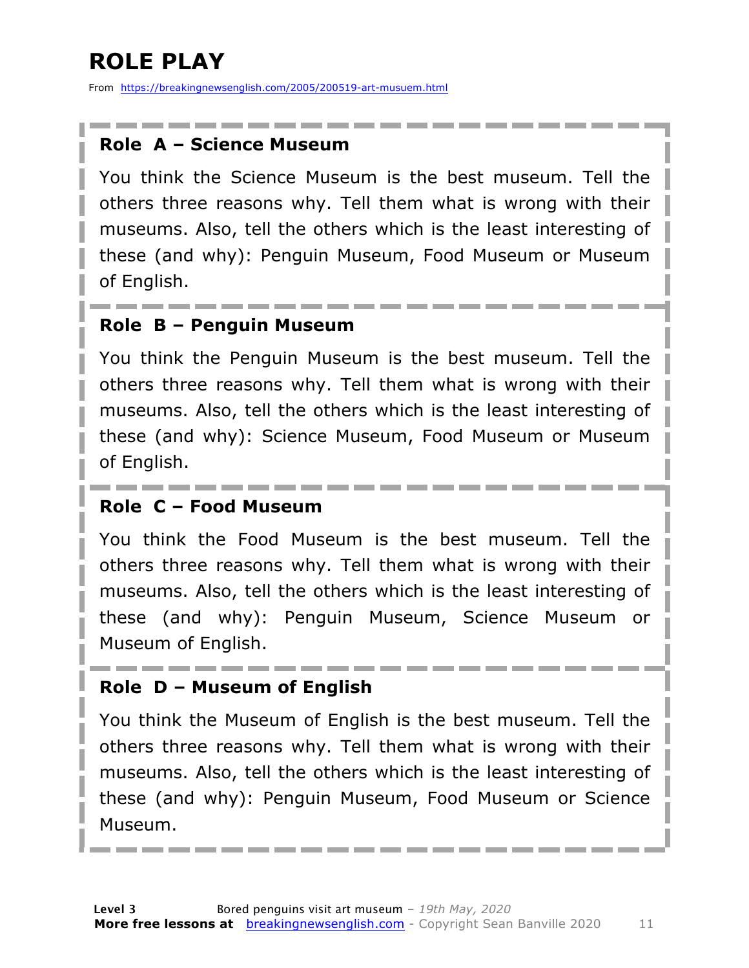### **ROLE PLAY**

From https://breakingnewsenglish.com/2005/200519-art-musuem.html

#### **Role A – Science Museum**

You think the Science Museum is the best museum. Tell the others three reasons why. Tell them what is wrong with their museums. Also, tell the others which is the least interesting of these (and why): Penguin Museum, Food Museum or Museum of English.

#### **Role B – Penguin Museum**

You think the Penguin Museum is the best museum. Tell the others three reasons why. Tell them what is wrong with their museums. Also, tell the others which is the least interesting of these (and why): Science Museum, Food Museum or Museum of English.

#### **Role C – Food Museum**

You think the Food Museum is the best museum. Tell the others three reasons why. Tell them what is wrong with their museums. Also, tell the others which is the least interesting of these (and why): Penguin Museum, Science Museum or Museum of English.

#### **Role D – Museum of English**

You think the Museum of English is the best museum. Tell the others three reasons why. Tell them what is wrong with their museums. Also, tell the others which is the least interesting of these (and why): Penguin Museum, Food Museum or Science Museum.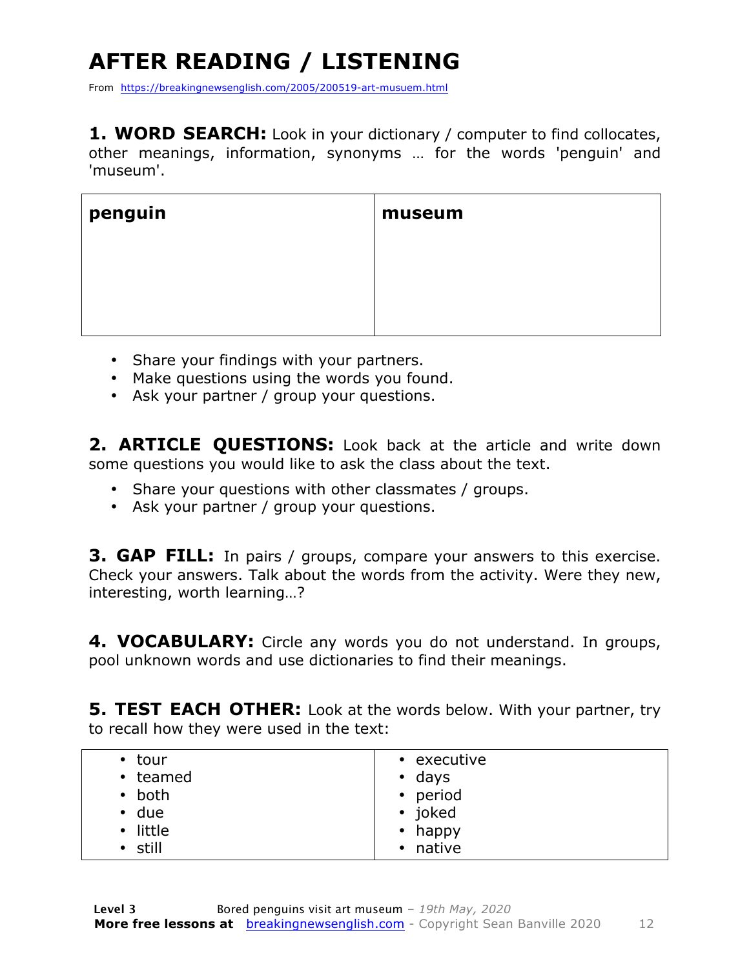### **AFTER READING / LISTENING**

From https://breakingnewsenglish.com/2005/200519-art-musuem.html

**1. WORD SEARCH:** Look in your dictionary / computer to find collocates, other meanings, information, synonyms … for the words 'penguin' and 'museum'.

| penguin | museum |
|---------|--------|
|         |        |
|         |        |
|         |        |

- Share your findings with your partners.
- Make questions using the words you found.
- Ask your partner / group your questions.

2. **ARTICLE QUESTIONS:** Look back at the article and write down some questions you would like to ask the class about the text.

- Share your questions with other classmates / groups.
- Ask your partner / group your questions.

**3. GAP FILL:** In pairs / groups, compare your answers to this exercise. Check your answers. Talk about the words from the activity. Were they new, interesting, worth learning…?

**4. VOCABULARY:** Circle any words you do not understand. In groups, pool unknown words and use dictionaries to find their meanings.

**5. TEST EACH OTHER:** Look at the words below. With your partner, try to recall how they were used in the text:

| $\bullet$ tour<br>• teamed<br>both<br>$\bullet$<br>$\cdot$ due<br>• little | • executive<br>$\cdot$ days<br>• period<br>• joked<br>$\bullet$ happy |
|----------------------------------------------------------------------------|-----------------------------------------------------------------------|
| • still                                                                    | • native                                                              |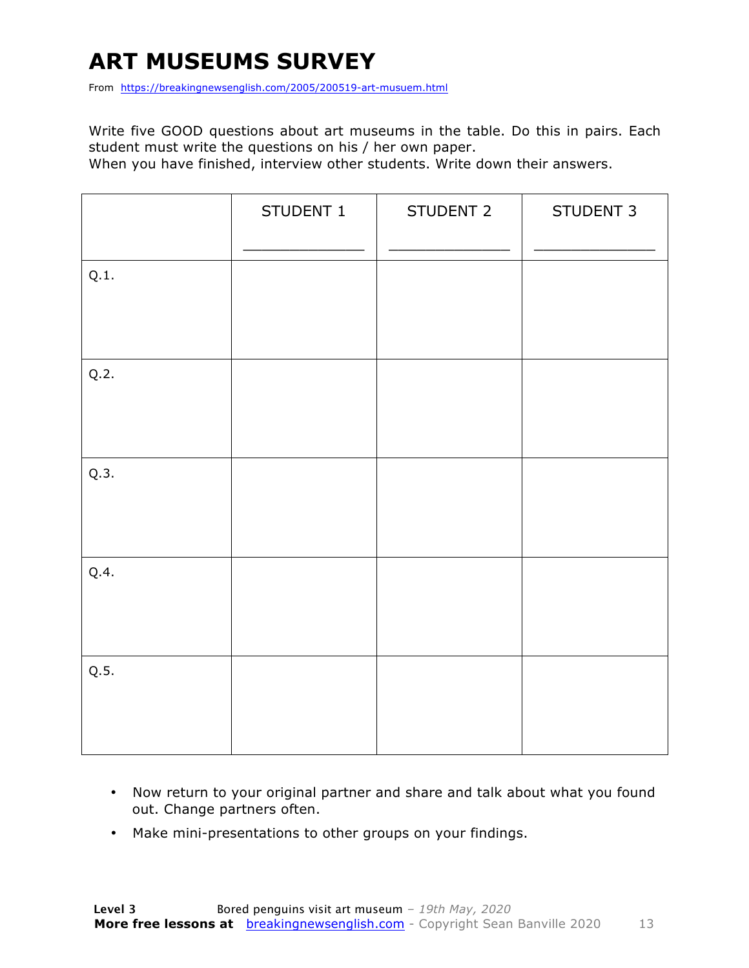### **ART MUSEUMS SURVEY**

From https://breakingnewsenglish.com/2005/200519-art-musuem.html

Write five GOOD questions about art museums in the table. Do this in pairs. Each student must write the questions on his / her own paper.

When you have finished, interview other students. Write down their answers.

|      | STUDENT 1 | STUDENT 2 | STUDENT 3 |
|------|-----------|-----------|-----------|
| Q.1. |           |           |           |
| Q.2. |           |           |           |
| Q.3. |           |           |           |
| Q.4. |           |           |           |
| Q.5. |           |           |           |

- Now return to your original partner and share and talk about what you found out. Change partners often.
- Make mini-presentations to other groups on your findings.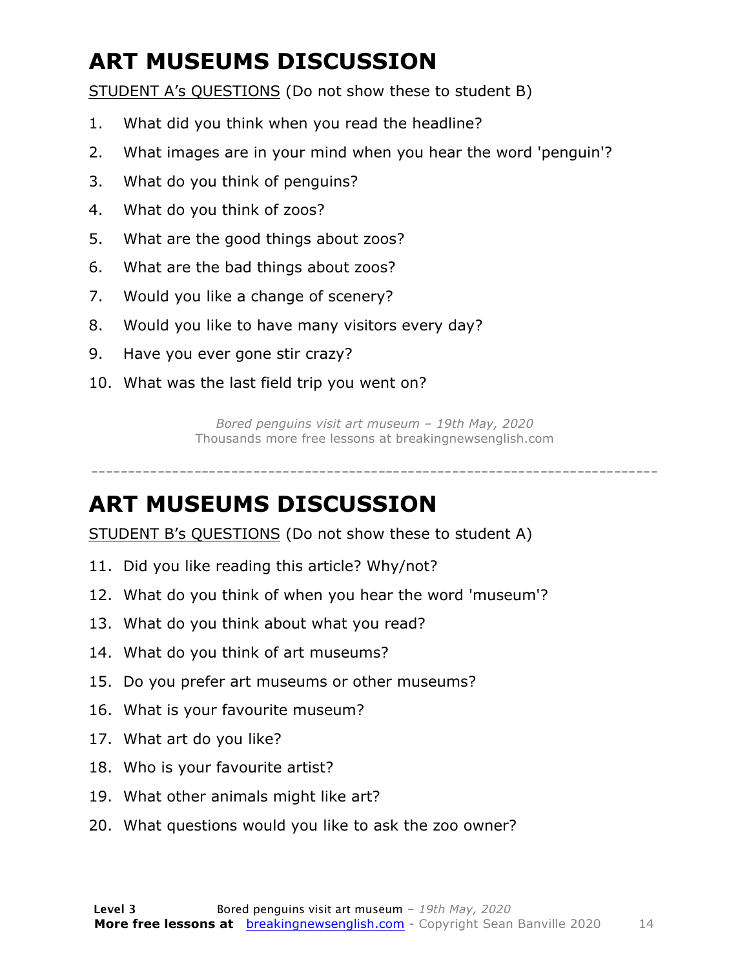### **ART MUSEUMS DISCUSSION**

STUDENT A's QUESTIONS (Do not show these to student B)

- 1. What did you think when you read the headline?
- 2. What images are in your mind when you hear the word 'penguin'?
- 3. What do you think of penguins?
- 4. What do you think of zoos?
- 5. What are the good things about zoos?
- 6. What are the bad things about zoos?
- 7. Would you like a change of scenery?
- 8. Would you like to have many visitors every day?
- 9. Have you ever gone stir crazy?
- 10. What was the last field trip you went on?

*Bored penguins visit art museum – 19th May, 2020* Thousands more free lessons at breakingnewsenglish.com

#### -----------------------------------------------------------------------------

#### **ART MUSEUMS DISCUSSION**

STUDENT B's QUESTIONS (Do not show these to student A)

- 11. Did you like reading this article? Why/not?
- 12. What do you think of when you hear the word 'museum'?
- 13. What do you think about what you read?
- 14. What do you think of art museums?
- 15. Do you prefer art museums or other museums?
- 16. What is your favourite museum?
- 17. What art do you like?
- 18. Who is your favourite artist?
- 19. What other animals might like art?
- 20. What questions would you like to ask the zoo owner?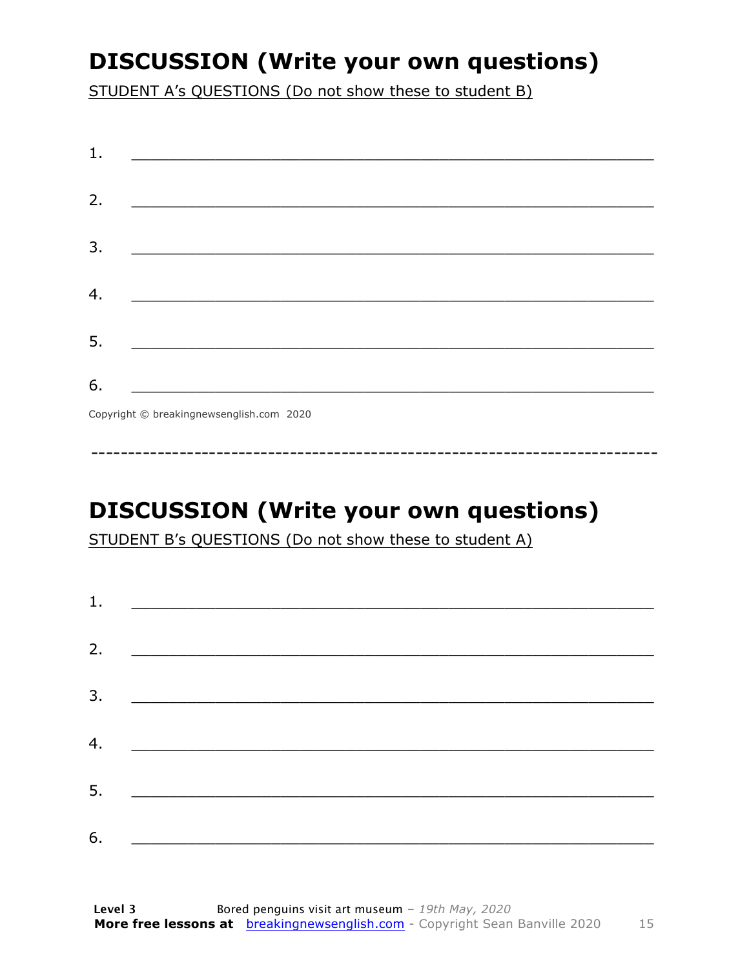### **DISCUSSION (Write your own questions)**

STUDENT A's QUESTIONS (Do not show these to student B)

| 1. |                                                    |
|----|----------------------------------------------------|
|    |                                                    |
| 2. |                                                    |
|    |                                                    |
| 3. |                                                    |
|    | <u> 1980 - John Stein, Amerikaansk politiker (</u> |
|    |                                                    |
| 4. |                                                    |
|    |                                                    |
| 5. |                                                    |
|    |                                                    |
| 6. |                                                    |
|    | Copyright © breakingnewsenglish.com 2020           |

### **DISCUSSION (Write your own questions)**

STUDENT B's QUESTIONS (Do not show these to student A)

| 1. | <u> Alexandria de la contrada de la contrada de la contrada de la contrada de la contrada de la contrada de la c</u> |  |  |
|----|----------------------------------------------------------------------------------------------------------------------|--|--|
|    |                                                                                                                      |  |  |
| 2. |                                                                                                                      |  |  |
| 3. |                                                                                                                      |  |  |
| 4. |                                                                                                                      |  |  |
|    |                                                                                                                      |  |  |
| 5. |                                                                                                                      |  |  |
| 6. |                                                                                                                      |  |  |
|    |                                                                                                                      |  |  |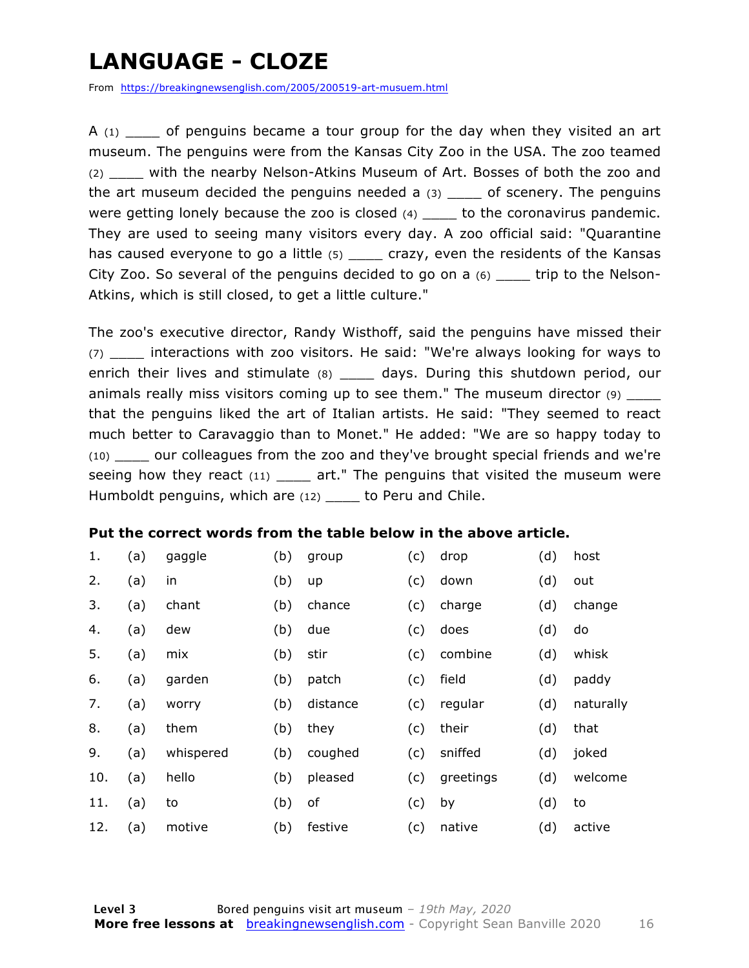### **LANGUAGE - CLOZE**

From https://breakingnewsenglish.com/2005/200519-art-musuem.html

A  $(1)$  of penguins became a tour group for the day when they visited an art museum. The penguins were from the Kansas City Zoo in the USA. The zoo teamed (2) \_\_\_\_ with the nearby Nelson-Atkins Museum of Art. Bosses of both the zoo and the art museum decided the penguins needed a  $(3)$  \_\_\_\_ of scenery. The penguins were getting lonely because the zoo is closed (4) \_\_\_\_ to the coronavirus pandemic. They are used to seeing many visitors every day. A zoo official said: "Quarantine has caused everyone to go a little (5) crazy, even the residents of the Kansas City Zoo. So several of the penguins decided to go on a (6) \_\_\_\_ trip to the Nelson-Atkins, which is still closed, to get a little culture."

The zoo's executive director, Randy Wisthoff, said the penguins have missed their (7) \_\_\_\_ interactions with zoo visitors. He said: "We're always looking for ways to enrich their lives and stimulate (8) \_\_\_\_ days. During this shutdown period, our animals really miss visitors coming up to see them." The museum director (9) that the penguins liked the art of Italian artists. He said: "They seemed to react much better to Caravaggio than to Monet." He added: "We are so happy today to (10) \_\_\_\_ our colleagues from the zoo and they've brought special friends and we're seeing how they react  $(11)$  \_\_\_\_ art." The penguins that visited the museum were Humboldt penguins, which are (12) to Peru and Chile.

#### **Put the correct words from the table below in the above article.**

| 1.  | (a) | gaggle    | (b) | group    | (c) | drop      | (d) | host      |
|-----|-----|-----------|-----|----------|-----|-----------|-----|-----------|
| 2.  | (a) | in        | (b) | up       | (c) | down      | (d) | out       |
| 3.  | (a) | chant     | (b) | chance   | (c) | charge    | (d) | change    |
| 4.  | (a) | dew       | (b) | due      | (c) | does      | (d) | do        |
| 5.  | (a) | mix       | (b) | stir     | (c) | combine   | (d) | whisk     |
| 6.  | (a) | garden    | (b) | patch    | (c) | field     | (d) | paddy     |
| 7.  | (a) | worry     | (b) | distance | (c) | regular   | (d) | naturally |
| 8.  | (a) | them      | (b) | they     | (c) | their     | (d) | that      |
| 9.  | (a) | whispered | (b) | coughed  | (c) | sniffed   | (d) | joked     |
| 10. | (a) | hello     | (b) | pleased  | (c) | greetings | (d) | welcome   |
| 11. | (a) | to        | (b) | оf       | (c) | by        | (d) | to        |
| 12. | (a) | motive    | (b) | festive  | (c) | native    | (d) | active    |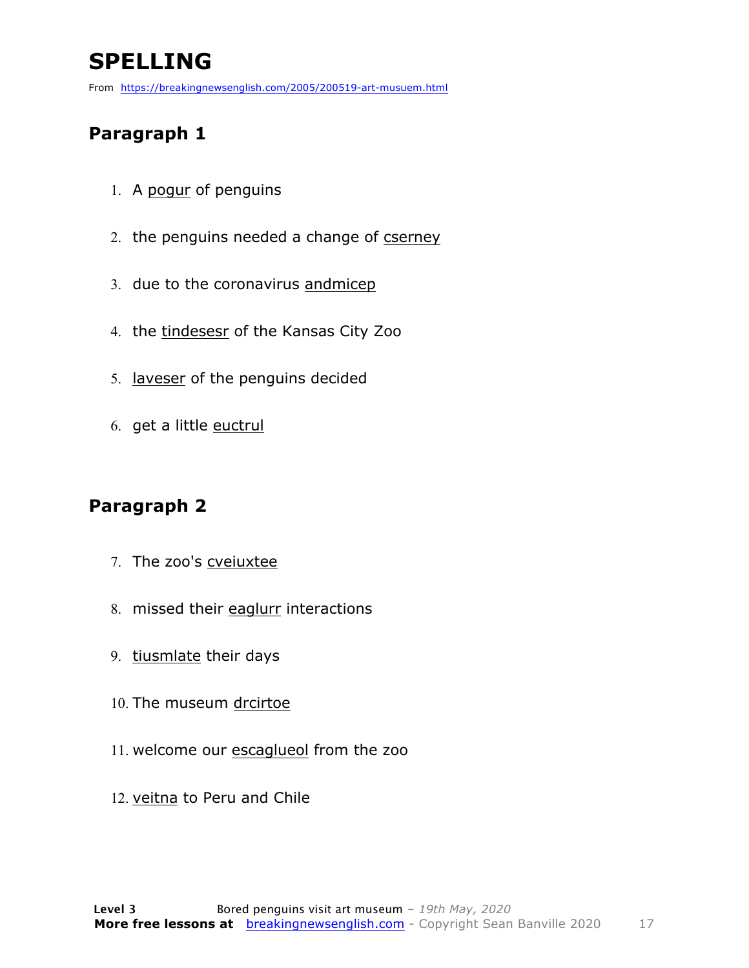### **SPELLING**

From https://breakingnewsenglish.com/2005/200519-art-musuem.html

#### **Paragraph 1**

- 1. A pogur of penguins
- 2. the penguins needed a change of cserney
- 3. due to the coronavirus andmicep
- 4. the tindesesr of the Kansas City Zoo
- 5. laveser of the penguins decided
- 6. get a little euctrul

#### **Paragraph 2**

- 7. The zoo's cveiuxtee
- 8. missed their eaglurr interactions
- 9. tiusmlate their days
- 10. The museum drcirtoe
- 11. welcome our escaglueol from the zoo
- 12. veitna to Peru and Chile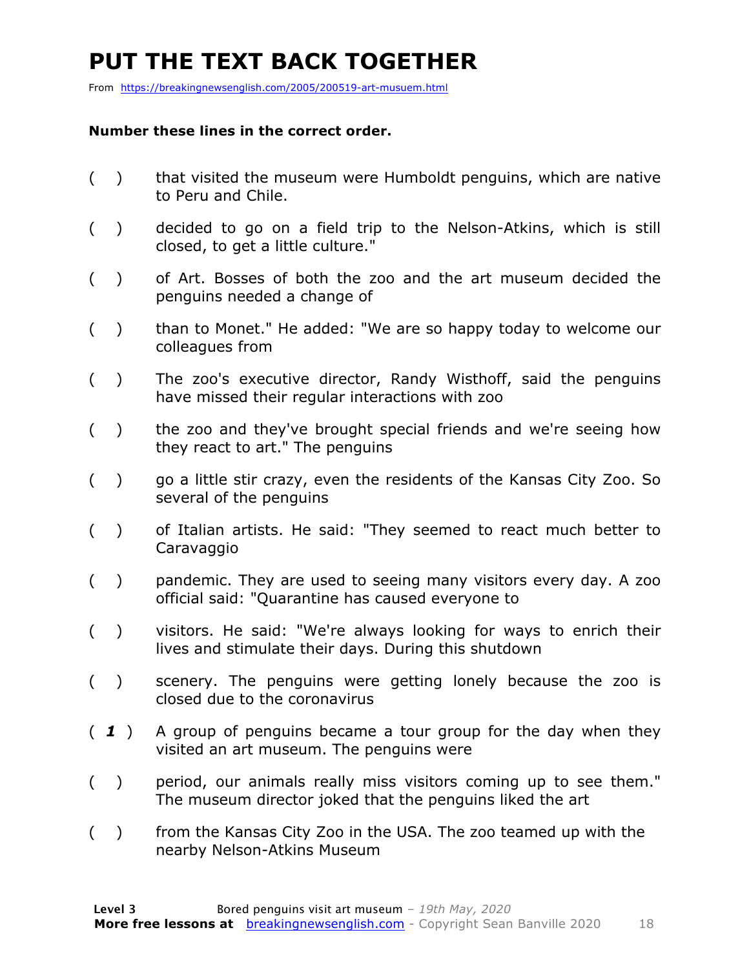### **PUT THE TEXT BACK TOGETHER**

From https://breakingnewsenglish.com/2005/200519-art-musuem.html

#### **Number these lines in the correct order.**

- ( ) that visited the museum were Humboldt penguins, which are native to Peru and Chile.
- ( ) decided to go on a field trip to the Nelson-Atkins, which is still closed, to get a little culture."
- ( ) of Art. Bosses of both the zoo and the art museum decided the penguins needed a change of
- ( ) than to Monet." He added: "We are so happy today to welcome our colleagues from
- ( ) The zoo's executive director, Randy Wisthoff, said the penguins have missed their regular interactions with zoo
- () the zoo and they've brought special friends and we're seeing how they react to art." The penguins
- ( ) go a little stir crazy, even the residents of the Kansas City Zoo. So several of the penguins
- ( ) of Italian artists. He said: "They seemed to react much better to Caravaggio
- ( ) pandemic. They are used to seeing many visitors every day. A zoo official said: "Quarantine has caused everyone to
- ( ) visitors. He said: "We're always looking for ways to enrich their lives and stimulate their days. During this shutdown
- ( ) scenery. The penguins were getting lonely because the zoo is closed due to the coronavirus
- ( *1* ) A group of penguins became a tour group for the day when they visited an art museum. The penguins were
- ( ) period, our animals really miss visitors coming up to see them." The museum director joked that the penguins liked the art
- ( ) from the Kansas City Zoo in the USA. The zoo teamed up with the nearby Nelson-Atkins Museum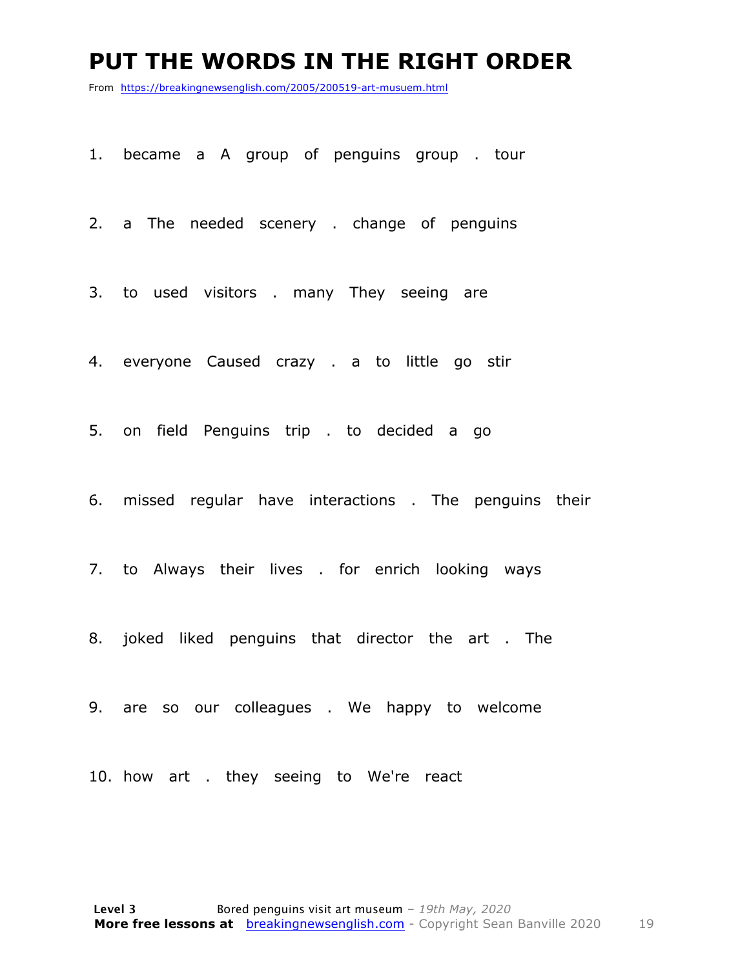#### **PUT THE WORDS IN THE RIGHT ORDER**

From https://breakingnewsenglish.com/2005/200519-art-musuem.html

1. became a A group of penguins group . tour

2. a The needed scenery . change of penguins

3. to used visitors . many They seeing are

4. everyone Caused crazy . a to little go stir

5. on field Penguins trip . to decided a go

6. missed regular have interactions . The penguins their

7. to Always their lives . for enrich looking ways

8. joked liked penguins that director the art . The

9. are so our colleagues . We happy to welcome

10. how art . they seeing to We're react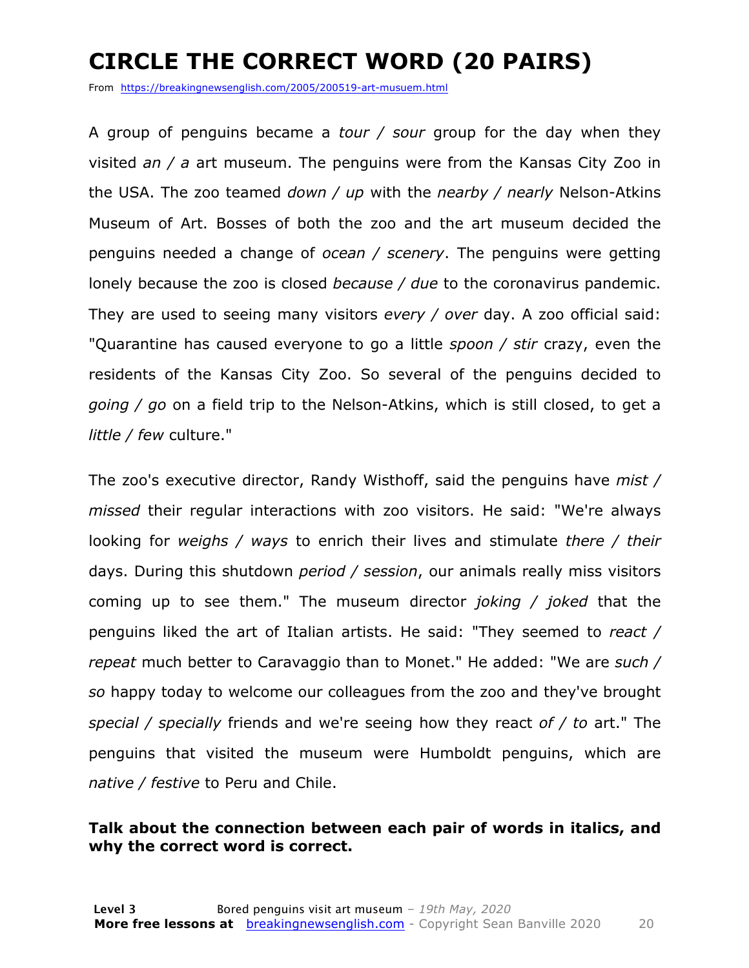### **CIRCLE THE CORRECT WORD (20 PAIRS)**

From https://breakingnewsenglish.com/2005/200519-art-musuem.html

A group of penguins became a *tour / sour* group for the day when they visited *an / a* art museum. The penguins were from the Kansas City Zoo in the USA. The zoo teamed *down / up* with the *nearby / nearly* Nelson-Atkins Museum of Art. Bosses of both the zoo and the art museum decided the penguins needed a change of *ocean / scenery*. The penguins were getting lonely because the zoo is closed *because / due* to the coronavirus pandemic. They are used to seeing many visitors *every / over* day. A zoo official said: "Quarantine has caused everyone to go a little *spoon / stir* crazy, even the residents of the Kansas City Zoo. So several of the penguins decided to *going / go* on a field trip to the Nelson-Atkins, which is still closed, to get a *little / few* culture."

The zoo's executive director, Randy Wisthoff, said the penguins have *mist / missed* their regular interactions with zoo visitors. He said: "We're always looking for *weighs / ways* to enrich their lives and stimulate *there / their* days. During this shutdown *period / session*, our animals really miss visitors coming up to see them." The museum director *joking / joked* that the penguins liked the art of Italian artists. He said: "They seemed to *react / repeat* much better to Caravaggio than to Monet." He added: "We are *such / so* happy today to welcome our colleagues from the zoo and they've brought *special / specially* friends and we're seeing how they react *of / to* art." The penguins that visited the museum were Humboldt penguins, which are *native / festive* to Peru and Chile.

#### **Talk about the connection between each pair of words in italics, and why the correct word is correct.**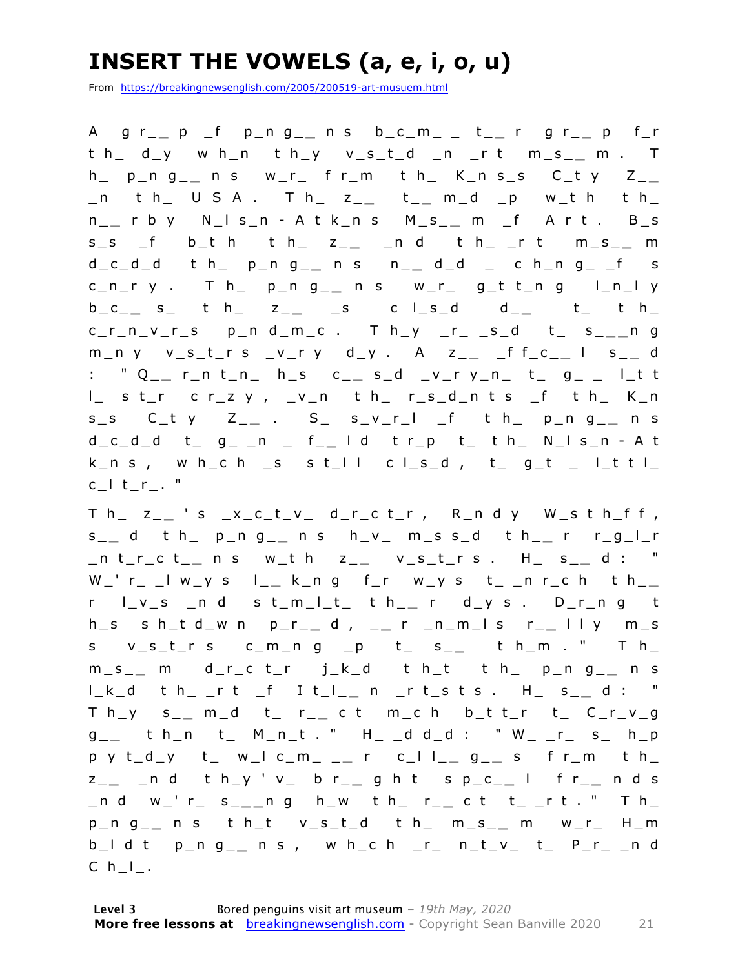### **INSERT THE VOWELS (a, e, i, o, u)**

From https://breakingnewsenglish.com/2005/200519-art-musuem.html

A g r\_ **\_** p \_f p\_n g\_ **\_** n s b\_c\_m\_ \_ t\_ **\_** r g r\_ **\_** p f\_r t h\_ d\_y w h\_n t h\_y v\_s\_t\_d \_n \_r t m\_s\_ **\_** m . T h\_ p\_n g\_ **\_** n s w\_r\_ f r\_m t h\_ K\_n s\_s C\_t y Z\_ **\_**  \_n t h\_ U S A . T h\_ z\_ **\_** t \_ **\_** m\_d \_p w\_t h t h\_ n \_ **\_** r b y N\_l s\_n - A t k\_n s M\_s\_ **\_** m \_f A r t . B\_s  $s_s$  f b\_t h t h\_ z\_\_ \_n d t h\_ \_r t m\_s\_\_ m d\_c\_d\_d t h\_ p\_n g\_ **\_** n s n\_ **\_** d\_d \_ c h\_n g\_ \_f s c\_n\_r y . T h\_ p\_n g\_ **\_** n s w\_r\_ g \_t t\_n g l\_n\_l y  $b_c = s_$  t  $h = z_{-}$  s c l\_s\_d d\_ t t  $h =$ c\_r\_n\_v\_r\_s p\_n d\_m\_c . T h\_y \_r\_ \_s\_d t\_ s\_ **\_ \_** n g m\_n y v\_s\_t\_r s \_v\_r y d\_y . A z\_ **\_** \_f f\_c\_ **\_** l s\_ **\_** d : " Q\_\_ r\_n t\_n\_ h\_s c\_\_ s\_d \_v\_r y\_n\_ t\_ g\_ \_ l\_t t l\_ s t\_r c r\_z y , \_v\_n t h\_ r\_s\_d\_n t s \_f t h\_ K\_n s\_s C\_t y Z\_ **\_** . S\_ s\_v\_r\_l \_f t h\_ p\_n g\_ **\_** n s d\_c\_d\_d t\_ g\_ \_n \_ f\_ **\_** l d t r\_p t\_ t h\_ N\_l s\_n - A t k\_n s, w h\_c h \_s s t\_l l c l\_s\_d, t\_ g\_t \_ l\_t t l\_ c\_l t\_r\_. "

T h\_ z\_ **\_** ' s \_x\_c\_t\_v\_ d\_r\_c t\_r , R\_n d y W\_s t h\_f f , s \_ **\_** d t h\_ p\_n g\_ **\_** n s h\_v\_ m\_s s\_d t h\_ **\_** r r\_g\_l\_r \_n t\_r\_c t\_ **\_** n s w\_t h z\_ **\_** v\_s\_t\_r s . H\_ s\_ **\_** d : " W\_' r\_ \_l w\_y s l\_ **\_** k\_n g f\_r w\_y s t\_ \_n r\_c h t h\_ **\_**  r l\_v\_s \_n d s t\_m\_l\_t\_ t h\_ **\_** r d\_y s . D\_r\_n g t h\_s s h\_t d\_w n p\_r\_ **\_** d , \_ **\_** r \_n\_m\_l s r\_ **\_** l l y m\_s s v\_s\_t\_r s c\_m\_n g \_p t\_ s\_ **\_** t h\_m . " T h\_ m\_s\_ **\_** m d\_r\_c t\_r j\_k\_d t h\_t t h\_ p\_n g\_ **\_** n s l\_k\_d t h\_ \_r t \_f I t\_l\_ **\_** n \_r t\_s t s . H\_ s\_ **\_** d : " T h\_y s\_ **\_** m\_d t\_ r\_ **\_** c t m\_c h b\_t t\_r t\_ C\_r\_v\_g g \_ **\_** t h\_n t\_ M\_n\_t . " H\_ \_d d\_d : " W\_ \_r\_ s\_ h\_p p y t\_d\_y t\_ w\_l c\_m\_ \_ **\_** r c\_l l\_ **\_** g \_ **\_** s f r\_m t h\_ z \_ **\_** \_n d t h\_y ' v\_ b r\_ **\_** g h t s p\_c\_ **\_** l f r\_ **\_** n d s \_n d w\_' r\_ s\_ **\_ \_** n g h\_w t h\_ r\_ **\_** c t t\_ \_r t . " T h\_ p\_n g\_ **\_** n s t h\_t v\_s\_t\_d t h\_ m\_s\_ **\_** m w\_r\_ H\_m b\_l d t p\_n g\_ **\_** n s , w h\_c h \_r\_ n\_t\_v\_ t\_ P\_r\_ \_n d  $C \ h_l$ .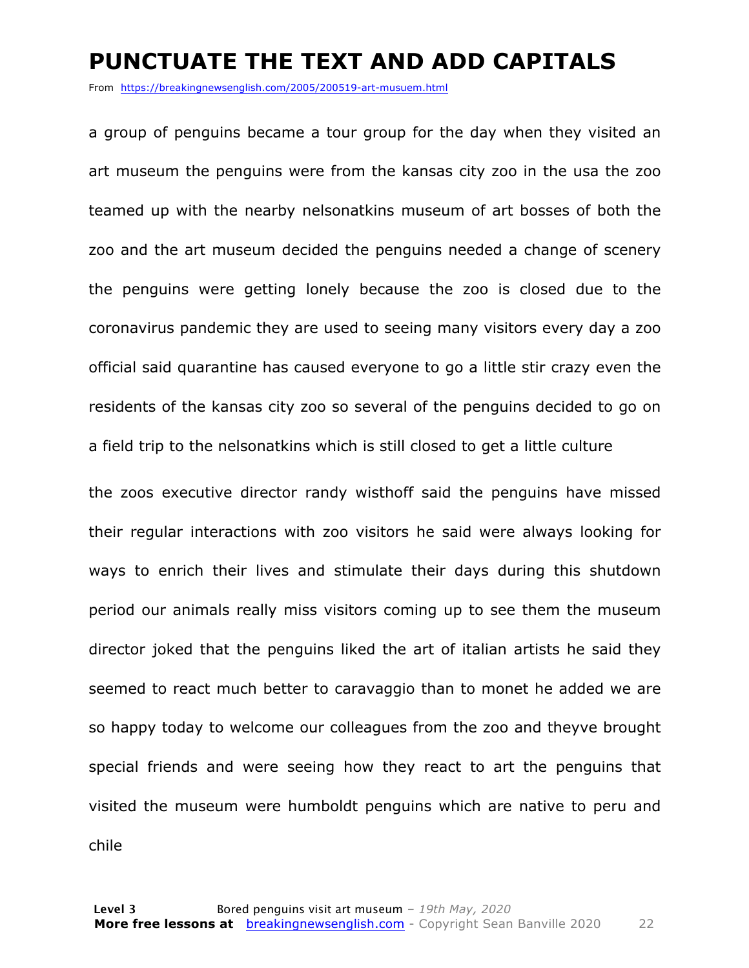#### **PUNCTUATE THE TEXT AND ADD CAPITALS**

From https://breakingnewsenglish.com/2005/200519-art-musuem.html

a group of penguins became a tour group for the day when they visited an art museum the penguins were from the kansas city zoo in the usa the zoo teamed up with the nearby nelsonatkins museum of art bosses of both the zoo and the art museum decided the penguins needed a change of scenery the penguins were getting lonely because the zoo is closed due to the coronavirus pandemic they are used to seeing many visitors every day a zoo official said quarantine has caused everyone to go a little stir crazy even the residents of the kansas city zoo so several of the penguins decided to go on a field trip to the nelsonatkins which is still closed to get a little culture

the zoos executive director randy wisthoff said the penguins have missed their regular interactions with zoo visitors he said were always looking for ways to enrich their lives and stimulate their days during this shutdown period our animals really miss visitors coming up to see them the museum director joked that the penguins liked the art of italian artists he said they seemed to react much better to caravaggio than to monet he added we are so happy today to welcome our colleagues from the zoo and theyve brought special friends and were seeing how they react to art the penguins that visited the museum were humboldt penguins which are native to peru and chile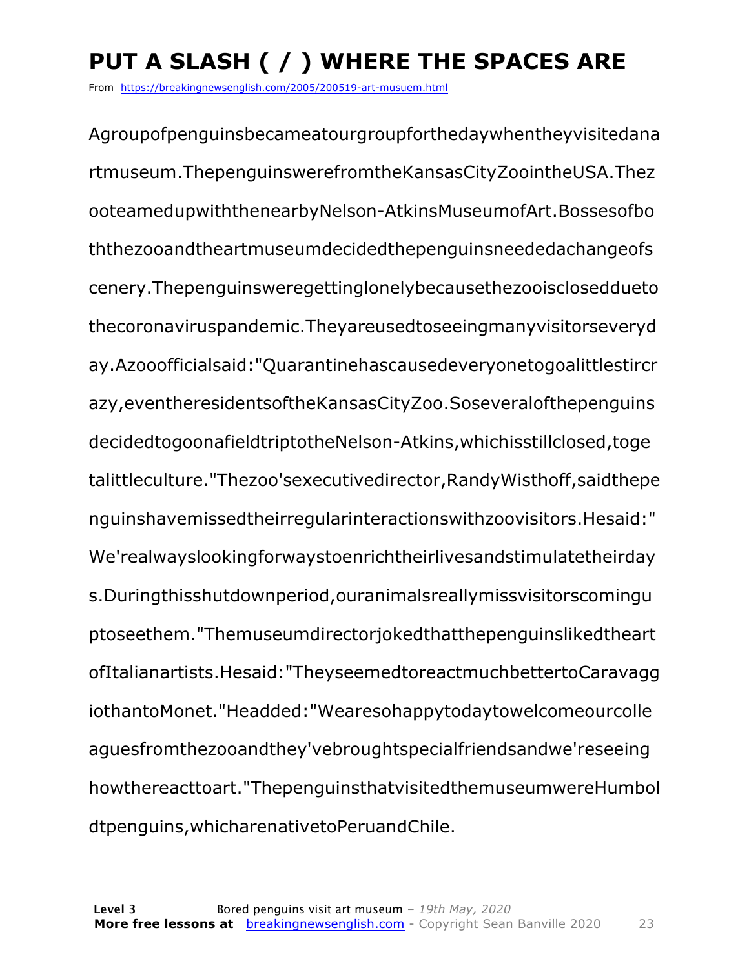### **PUT A SLASH ( / ) WHERE THE SPACES ARE**

From https://breakingnewsenglish.com/2005/200519-art-musuem.html

Agroupofpenguinsbecameatourgroupforthedaywhentheyvisitedana rtmuseum.ThepenguinswerefromtheKansasCityZoointheUSA.Thez ooteamedupwiththenearbyNelson-AtkinsMuseumofArt.Bossesofbo ththezooandtheartmuseumdecidedthepenguinsneededachangeofs cenery.Thepenguinsweregettinglonelybecausethezooiscloseddueto thecoronaviruspandemic.Theyareusedtoseeingmanyvisitorseveryd ay.Azooofficialsaid:"Quarantinehascausedeveryonetogoalittlestircr azy,eventheresidentsoftheKansasCityZoo.Soseveralofthepenguins decidedtogoonafieldtriptotheNelson-Atkins,whichisstillclosed,toge talittleculture."Thezoo'sexecutivedirector,RandyWisthoff,saidthepe nguinshavemissedtheirregularinteractionswithzoovisitors.Hesaid:" We'realwayslookingforwaystoenrichtheirlivesandstimulatetheirday s.Duringthisshutdownperiod,ouranimalsreallymissvisitorscomingu ptoseethem."Themuseumdirectorjokedthatthepenguinslikedtheart ofItalianartists.Hesaid:"TheyseemedtoreactmuchbettertoCaravagg iothantoMonet."Headded:"Wearesohappytodaytowelcomeourcolle aguesfromthezooandthey'vebroughtspecialfriendsandwe'reseeing howthereacttoart."ThepenguinsthatvisitedthemuseumwereHumbol dtpenguins,whicharenativetoPeruandChile.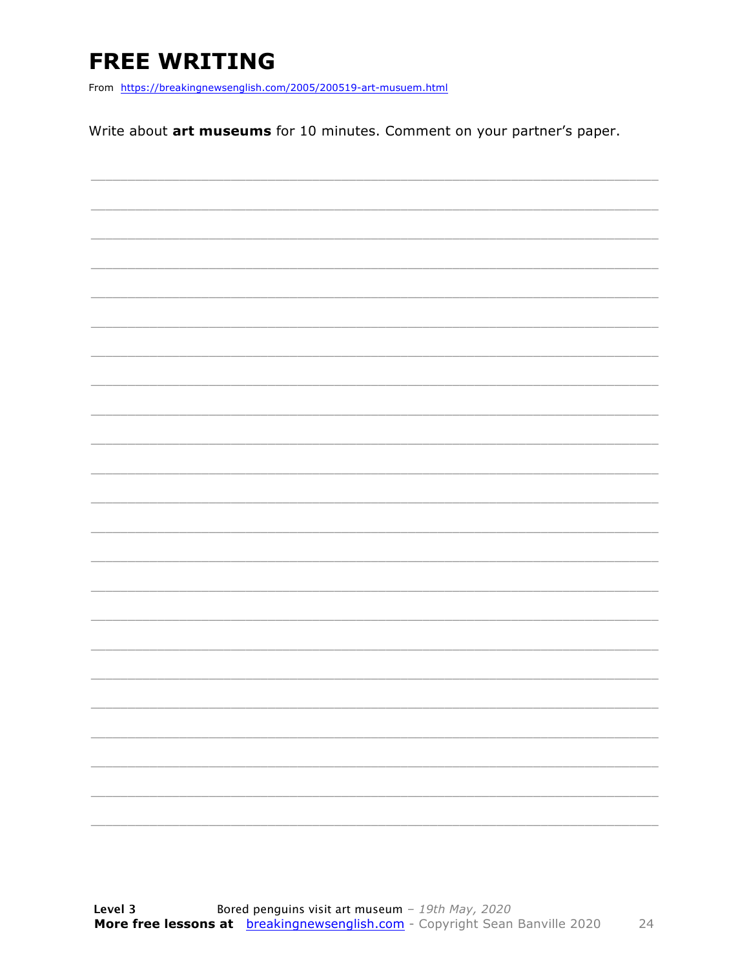### **FREE WRITING**

From https://breakingnewsenglish.com/2005/200519-art-musuem.html

Write about art museums for 10 minutes. Comment on your partner's paper.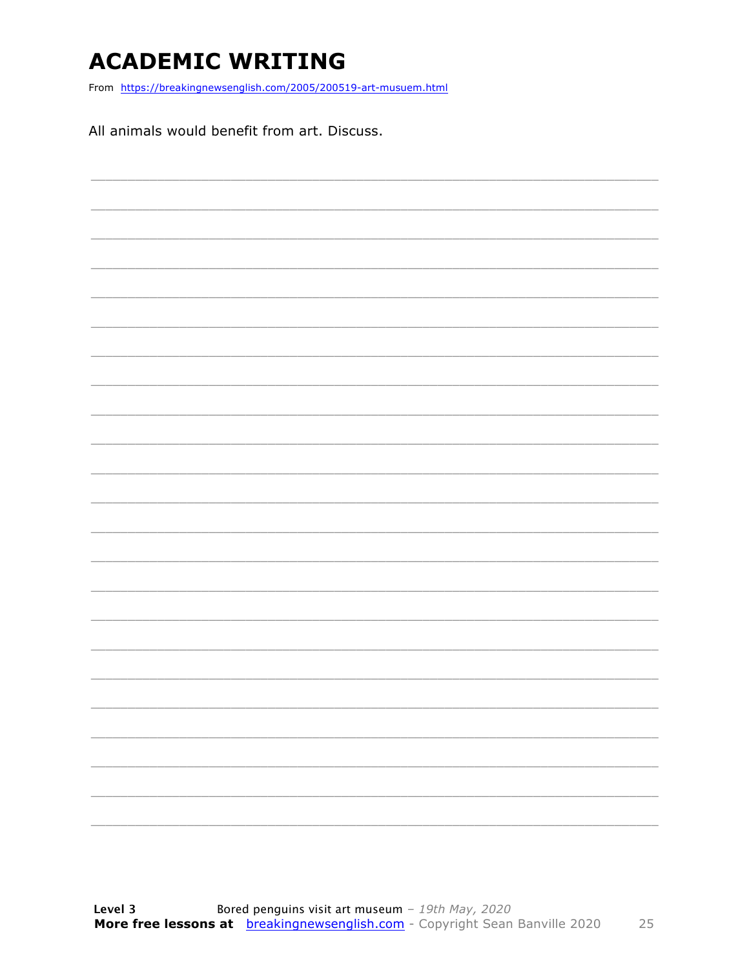### **ACADEMIC WRITING**

From https://breakingnewsenglish.com/2005/200519-art-musuem.html

All animals would benefit from art. Discuss.

| $\overbrace{\hspace{25mm}}^{}$ |  |  |  |
|--------------------------------|--|--|--|
|                                |  |  |  |
|                                |  |  |  |
|                                |  |  |  |
|                                |  |  |  |
|                                |  |  |  |
|                                |  |  |  |
|                                |  |  |  |
|                                |  |  |  |
|                                |  |  |  |
|                                |  |  |  |
|                                |  |  |  |
|                                |  |  |  |
|                                |  |  |  |
|                                |  |  |  |
|                                |  |  |  |
|                                |  |  |  |
|                                |  |  |  |
|                                |  |  |  |
|                                |  |  |  |
|                                |  |  |  |
|                                |  |  |  |
|                                |  |  |  |
|                                |  |  |  |
|                                |  |  |  |
|                                |  |  |  |
|                                |  |  |  |
|                                |  |  |  |
|                                |  |  |  |
|                                |  |  |  |
|                                |  |  |  |
|                                |  |  |  |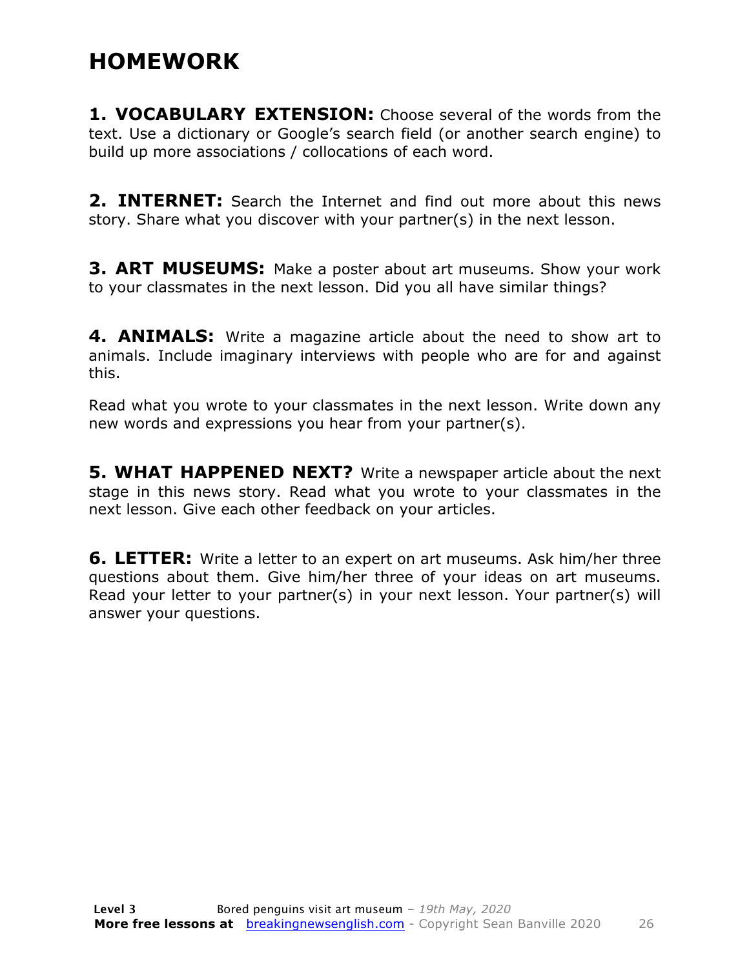#### **HOMEWORK**

**1. VOCABULARY EXTENSION:** Choose several of the words from the text. Use a dictionary or Google's search field (or another search engine) to build up more associations / collocations of each word.

**2. INTERNET:** Search the Internet and find out more about this news story. Share what you discover with your partner(s) in the next lesson.

**3. ART MUSEUMS:** Make a poster about art museums. Show your work to your classmates in the next lesson. Did you all have similar things?

**4. ANIMALS:** Write a magazine article about the need to show art to animals. Include imaginary interviews with people who are for and against this.

Read what you wrote to your classmates in the next lesson. Write down any new words and expressions you hear from your partner(s).

**5. WHAT HAPPENED NEXT?** Write a newspaper article about the next stage in this news story. Read what you wrote to your classmates in the next lesson. Give each other feedback on your articles.

**6. LETTER:** Write a letter to an expert on art museums. Ask him/her three questions about them. Give him/her three of your ideas on art museums. Read your letter to your partner(s) in your next lesson. Your partner(s) will answer your questions.